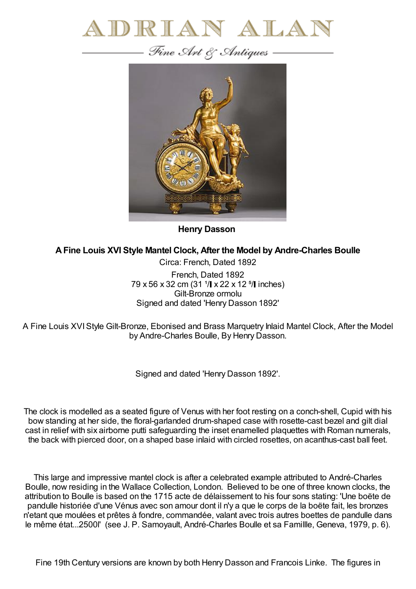



**Henry Dasson**

## **AFine Louis XVI Style Mantel Clock, After the Model by Andre-Charles Boulle**

Circa: French, Dated 1892 French, Dated 1892  $79 \times 56 \times 32$  cm (31  $\frac{1}{1} \times 22 \times 12$   $\frac{5}{1}$  inches) Gilt-Bronze ormolu Signed and dated 'Henry Dasson 1892'

A Fine Louis XVIStyle Gilt-Bronze, Ebonised and Brass Marquetry Inlaid Mantel Clock, After the Model by Andre-Charles Boulle, By Henry Dasson.

Signed and dated 'Henry Dasson 1892'.

The clock is modelled as a seated figure of Venus with her foot resting on a conch-shell, Cupid with his bow standing at her side, the floral-garlanded drum-shaped case with rosette-cast bezel and gilt dial cast in relief with six airborne putti safeguarding the inset enamelled plaquettes with Roman numerals, the back with pierced door, on a shaped base inlaid with circled rosettes, on acanthus-cast ball feet.

This large and impressive mantel clock is after a celebrated example attributed to André-Charles Boulle, now residing in the Wallace Collection, London. Believed to be one of three known clocks, the attribution to Boulle is based on the 1715 acte de délaissement to his four sons stating: 'Une boëte de pandulle historiée d'une Vénus avec son amour dont il n'y a que le corps de la boëte fait, les bronzes n'etant que moulées et prêtes à fondre, commandée, valant avec trois autres boettes de pandulle dans le même état...2500l' (see J. P. Samoyault, André-Charles Boulle et sa Famillle, Geneva, 1979, p. 6).